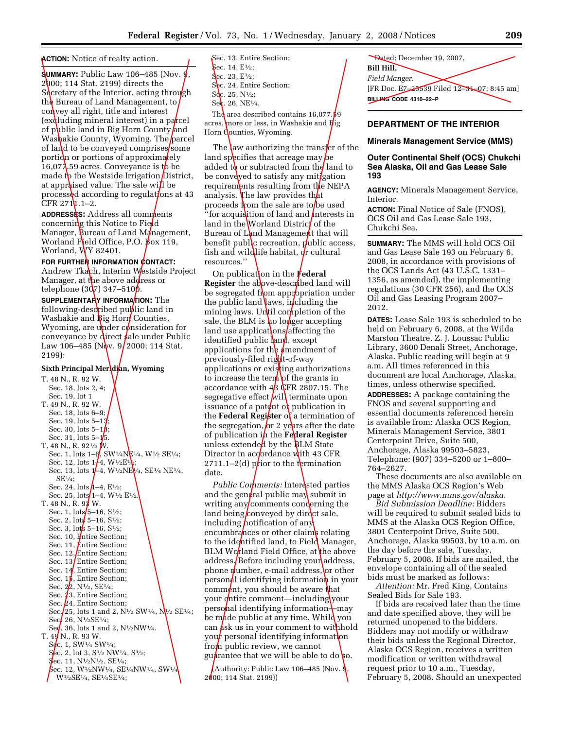**ACTION:** Notice of realty action.

**SUMMARY:** Public Law 106–485 (Nov. 9 2000; 114 Stat. 2199) directs the Secretary of the Interior, acting through the Bureau of Land Management, to  $\text{co}$  vey all right, title and interest  $(exd$ luding mineral interest) in a parcel of public land in Big Horn County and Washakie County, Wyoming. The parcel of land to be conveyed comprises some portion or portions of approximately 16,07 $\lambda$ .59 acres. Conveyance is to be made t**p** the Westside Irrigation District, at approised value. The sale will be processed according to regulations at 43  $CFR 27111.1 - 2.$ 

**ADDRESSES:** Address all comments concerning this Notice to Field Manager, Bureau of Land Management, Worland Field Office, P.O.  $\cancel{B}$ ox 119, Worland, WY 82401.

FOR FURTHER INFORMATION CONTACT: Andrew Tkach, Interim Westside Project Manager, at the above address or telephone  $(307)$  347–510 $\beta$ .

**SUPPLEMENTARY INFORMATION:** The following-described public land in Washakie and  $\frac{1}{2}$  Horn Counties, Wyoming, are under consideration for conveyance by direct sale under Public Law 106–485 (Nov. 9/2000; 114 Stat. 2199):

### **Sixth Principal Meridian, Wyoming**

```
T. 48 N., R. 92 W. 
   Sec. 18, lots 2, 4; 
   Sec. 19, lot 1 
T. 49 N., R. 92 W. 
   Sec. 18, lots 6–9; 
   Sec. 19, lots 5-13;
   Sec. 30, lots 5-1\beta;
   Sec. 31, lots 5-1/5.
T. 48 N., R. 92\frac{1}{2} W.
   Sec. 1, lots 1-\theta, SW<sup>1</sup>/<sub>4</sub>NE<sup>1</sup>/<sub>4</sub>, W<sup>1</sup>/<sub>2</sub> SE<sup>1</sup>/<sub>4</sub>;
   Sec. 12, lots 1/4, W^{1/2}E^{1/2};
   Sec. 13, lots 1–4, W<sup>1</sup>/2NE<sup>1</sup>/4, SE<sup>1</sup>/4 NE<sup>1</sup>/4,
      SE1⁄4; 
   Sec. 24, lots h-4, E^{1/2};
   Sec. 25, lots 1-4, W^{1/2}E^{1/2}T. 48 N., R. 93 W. 
   Sec. 1, lots 5-16, S\frac{1}{2};
   Sec. 2, lots 5-16, S\frac{1}{2};
   Sec. 3, lots 5-16, S\frac{1}{2};
   Sec. 10, Entire Section;
   Sec. 11, Entire Section:
   Sec. 12, Entire Section;
   Sec. 13 Entire Section;
   Sec. 14, Entire Section;
   Sec. 15, Entire Section;
   Sec. 22, N<sup>1</sup>/<sub>2</sub>, SE<sup>1</sup>/<sub>4</sub>;
   Sec. 23, Entire Section;
   Sec. 24, Entire Section;
   Sec. 25, lots 1 and 2, N\frac{1}{2}SW\frac{1}{4}, N\frac{1}{2}SE\frac{1}{4};
   Sec. 26, N\frac{1}{2}SE\frac{1}{4};
   Seq. 36, lots 1 and 2, N\frac{1}{2}NW\frac{1}{4}.
T. 49 N., R. 93 W.
   S_{\mathbf{C}}. 1, SW\frac{1}{4} SW\frac{1}{4};
   Sec. 2, lot 3, S^{1/2} NW^{1/4}, S^{1/2};
   Sec. 11, N\frac{1}{2}N\frac{1}{2}, SE\frac{1}{4};
    \rm\, Sec. 12, W½NW½, SE½NW½, SW½
      W<sup>1</sup>/2SE<sup>1</sup>/4, SE<sup>1</sup>/4SE<sup>1</sup>/4;
```
Sec. 13, Entire Section; Sec. 14,  $E\frac{1}{2}$ ; Sec. 23,  $E\frac{1}{2}$ ; Sec. 24, Entire Section;  $S_{c.}$  25,  $N_{2}$ ;  $Sec. 26, NE<sup>1</sup>/<sub>4</sub>.$ The area described contains  $16,077.59$ acres, more or less, in Washakie and Big Horn Counties, Wyoming.

The law authorizing the transfer of the land specifies that acreage may be added to or subtracted from the land to be conveyed to satisfy any mitigation requirements resulting from  $t\phi$  NEPA analysis. The law provides that proceeds from the sale are to be used "for acquistion of land and *i*nterests in land in the Worland District of the Bureau of Land Management that will benefit public recreation,  $\mathbf{y}$ ublic access, fish and wildlife habitat,  $\frac{d}{dt}$  cultural resources.''

On publication in the **Federal Register** the above-described land will be segregated from appropriation under the public land laws, including the mining laws. Until completion of the sale, the BLM is **h**o longer accepting land use applications affecting the identified public  $\ln d$ , except applications for the *i*mendment of previously-filed right-of-way applications or existing authorizations to increase the term of the grants in accordance with  $4/3$  CFR 2807.15. The segregative effect  $\frac{1}{1}$  terminate upon issuance of a patent or publication in the **Federal Register** of a termination of the segregation, or 2 years after the date of publication in the **Federal Register** unless extended by the BLM State Director in accordance with 43 CFR 2711.1–2(d) prior to the termination date.

*Public Comments:* Interested parties and the general public may submit in writing any comments conderning the land being conveyed by direct sale, including *h*otification of any encumbrances or other claims relating to the identified land, to Field Manager, BLM Worland Field Office, at the above address. Before including your address, phone  $\psi$ umber, e-mail address, or other person**al** identifying information in your comment, you should be aware that your *e*ntire comment—including your personal identifying information—may be made public at any time. While you can **A**sk us in your comment to withhold your personal identifying information from public review, we cannot guarantee that we will be able to do so.

Authority: Public Law 106–485 (Nov.  $\frac{1}{2}$ , 2000; 114 Stat. 2199))

Dated: December 19, 2007. **Bill Hill,**  *Field Manger.*  [FR Doc. E7–25539 Filed 12–31–07; 8:45 am] **BILLING CODE 4310–22–P** 

### **DEPARTMENT OF THE INTERIOR**

#### **Minerals Management Service (MMS)**

### **Outer Continental Shelf (OCS) Chukchi Sea Alaska, Oil and Gas Lease Sale 193**

**AGENCY:** Minerals Management Service, Interior.

**ACTION:** Final Notice of Sale (FNOS), OCS Oil and Gas Lease Sale 193, Chukchi Sea.

**SUMMARY:** The MMS will hold OCS Oil and Gas Lease Sale 193 on February 6, 2008, in accordance with provisions of the OCS Lands Act (43 U.S.C. 1331– 1356, as amended), the implementing regulations (30 CFR 256), and the OCS Oil and Gas Leasing Program 2007– 2012.

**DATES:** Lease Sale 193 is scheduled to be held on February 6, 2008, at the Wilda Marston Theatre, Z. J. Loussac Public Library, 3600 Denali Street, Anchorage, Alaska. Public reading will begin at 9 a.m. All times referenced in this document are local Anchorage, Alaska, times, unless otherwise specified. **ADDRESSES:** A package containing the FNOS and several supporting and essential documents referenced herein is available from: Alaska OCS Region, Minerals Management Service, 3801 Centerpoint Drive, Suite 500, Anchorage, Alaska 99503–5823, Telephone: (907) 334–5200 or 1–800– 764–2627.

These documents are also available on the MMS Alaska OCS Region's Web page at *http://www.mms.gov/alaska.* 

*Bid Submission Deadline:* Bidders will be required to submit sealed bids to MMS at the Alaska OCS Region Office, 3801 Centerpoint Drive, Suite 500, Anchorage, Alaska 99503, by 10 a.m. on the day before the sale, Tuesday, February 5, 2008. If bids are mailed, the envelope containing all of the sealed bids must be marked as follows:

*Attention:* Mr. Fred King, Contains Sealed Bids for Sale 193.

If bids are received later than the time and date specified above, they will be returned unopened to the bidders. Bidders may not modify or withdraw their bids unless the Regional Director, Alaska OCS Region, receives a written modification or written withdrawal request prior to 10 a.m., Tuesday, February 5, 2008. Should an unexpected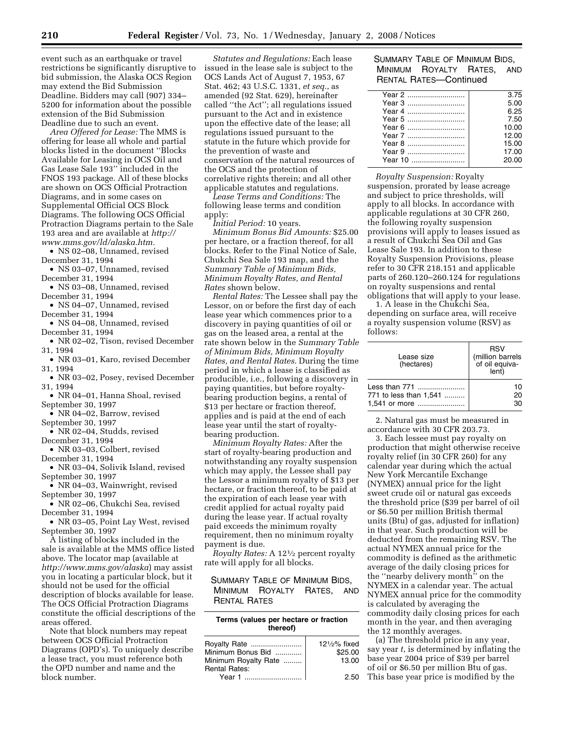event such as an earthquake or travel restrictions be significantly disruptive to bid submission, the Alaska OCS Region may extend the Bid Submission Deadline. Bidders may call (907) 334– 5200 for information about the possible extension of the Bid Submission Deadline due to such an event.

*Area Offered for Lease:* The MMS is offering for lease all whole and partial blocks listed in the document ''Blocks Available for Leasing in OCS Oil and Gas Lease Sale 193'' included in the FNOS 193 package. All of these blocks are shown on OCS Official Protraction Diagrams, and in some cases on Supplemental Official OCS Block Diagrams. The following OCS Official Protraction Diagrams pertain to the Sale 193 area and are available at *http:// www.mms.gov/ld/alaska.htm.* 

• NS 02–08, Unnamed, revised December 31, 1994

- NS 03–07, Unnamed, revised December 31, 1994
- NS 03–08, Unnamed, revised December 31, 1994
- NS 04–07, Unnamed, revised
- December 31, 1994
- NS 04–08, Unnamed, revised December 31, 1994
- NR 02–02, Tison, revised December 31, 1994
- NR 03–01, Karo, revised December 31, 1994
- NR 03–02, Posey, revised December 31, 1994
- NR 04–01, Hanna Shoal, revised September 30, 1997
- NR 04–02, Barrow, revised
- September 30, 1997
- NR 02–04, Studds, revised December 31, 1994
- NR 03–03, Colbert, revised
- December 31, 1994
- NR 03–04, Solivik Island, revised September 30, 1997
- NR 04-03, Wainwright, revised September 30, 1997
- NR 02–06, Chukchi Sea, revised December 31, 1994
- NR 03–05, Point Lay West, revised September 30, 1997

A listing of blocks included in the sale is available at the MMS office listed above. The locator map (available at *http://www.mms.gov/alaska*) may assist you in locating a particular block, but it should not be used for the official description of blocks available for lease. The OCS Official Protraction Diagrams constitute the official descriptions of the areas offered.

Note that block numbers may repeat between OCS Official Protraction Diagrams (OPD's). To uniquely describe a lease tract, you must reference both the OPD number and name and the block number.

*Statutes and Regulations:* Each lease issued in the lease sale is subject to the OCS Lands Act of August 7, 1953, 67 Stat. 462; 43 U.S.C. 1331, *et seq.*, as amended (92 Stat. 629), hereinafter called ''the Act''; all regulations issued pursuant to the Act and in existence upon the effective date of the lease; all regulations issued pursuant to the statute in the future which provide for the prevention of waste and conservation of the natural resources of the OCS and the protection of correlative rights therein; and all other applicable statutes and regulations.

*Lease Terms and Conditions:* The following lease terms and condition apply:

*Initial Period:* 10 years. *Minimum Bonus Bid Amounts:* \$25.00 per hectare, or a fraction thereof, for all blocks. Refer to the Final Notice of Sale, Chukchi Sea Sale 193 map, and the *Summary Table of Minimum Bids, Minimum Royalty Rates, and Rental* 

*Rates* shown below. *Rental Rates:* The Lessee shall pay the Lessor, on or before the first day of each lease year which commences prior to a discovery in paying quantities of oil or gas on the leased area, a rental at the rate shown below in the *Summary Table of Minimum Bids, Minimum Royalty Rates, and Rental Rates.* During the time period in which a lease is classified as producible, i.e., following a discovery in paying quantities, but before royaltybearing production begins, a rental of \$13 per hectare or fraction thereof, applies and is paid at the end of each lease year until the start of royaltybearing production.

*Minimum Royalty Rates:* After the start of royalty-bearing production and notwithstanding any royalty suspension which may apply, the Lessee shall pay the Lessor a minimum royalty of \$13 per hectare, or fraction thereof, to be paid at the expiration of each lease year with credit applied for actual royalty paid during the lease year. If actual royalty paid exceeds the minimum royalty requirement, then no minimum royalty payment is due.

*Royalty Rates:* A 121⁄2 percent royalty rate will apply for all blocks.

SUMMARY TABLE OF MINIMUM BIDS, MINIMUM ROYALTY RATES, AND RENTAL RATES

# **Terms (values per hectare or fraction thereof)**

| Royalty Rate                              | $12\frac{1}{2}\%$ fixed<br>\$25.00 |
|-------------------------------------------|------------------------------------|
| Minimum Bonus Bid<br>Minimum Royalty Rate | 13.00                              |
| <b>Rental Rates:</b>                      |                                    |
| Year 1                                    | 2.50                               |

# SUMMARY TABLE OF MINIMUM BIDS, MINIMUM ROYALTY RATES, AND RENTAL RATES—Continued

|         | 3.75  |
|---------|-------|
|         | 5.00  |
|         | 6.25  |
| Year 5  | 7.50  |
| Year 6  | 10.00 |
|         | 12.00 |
| Year 8  | 15.00 |
| Year 9  | 17.00 |
| Year 10 | 20.00 |
|         |       |

*Royalty Suspension:* Royalty suspension, prorated by lease acreage and subject to price thresholds, will apply to all blocks. In accordance with applicable regulations at 30 CFR 260, the following royalty suspension provisions will apply to leases issued as a result of Chukchi Sea Oil and Gas Lease Sale 193. In addition to these Royalty Suspension Provisions, please refer to 30 CFR 218.151 and applicable parts of 260.120–260.124 for regulations on royalty suspensions and rental obligations that will apply to your lease.

1. A lease in the Chukchi Sea, depending on surface area, will receive a royalty suspension volume (RSV) as follows:

| Lease size<br>(hectares) | <b>RSV</b><br>(million barrels<br>of oil equiva-<br>lent) |
|--------------------------|-----------------------------------------------------------|
| Less than 771            | 10                                                        |
| 771 to less than 1,541   | 20                                                        |
| 1,541 or more            | 30                                                        |

2. Natural gas must be measured in accordance with 30 CFR 203.73.

3. Each lessee must pay royalty on production that might otherwise receive royalty relief (in 30 CFR 260) for any calendar year during which the actual New York Mercantile Exchange (NYMEX) annual price for the light sweet crude oil or natural gas exceeds the threshold price (\$39 per barrel of oil or \$6.50 per million British thermal units (Btu) of gas, adjusted for inflation) in that year. Such production will be deducted from the remaining RSV. The actual NYMEX annual price for the commodity is defined as the arithmetic average of the daily closing prices for the ''nearby delivery month'' on the NYMEX in a calendar year. The actual NYMEX annual price for the commodity is calculated by averaging the commodity daily closing prices for each month in the year, and then averaging the 12 monthly averages.

(a) The threshold price in any year, say year *t*, is determined by inflating the base year 2004 price of \$39 per barrel of oil or \$6.50 per million Btu of gas.

This base year price is modified by the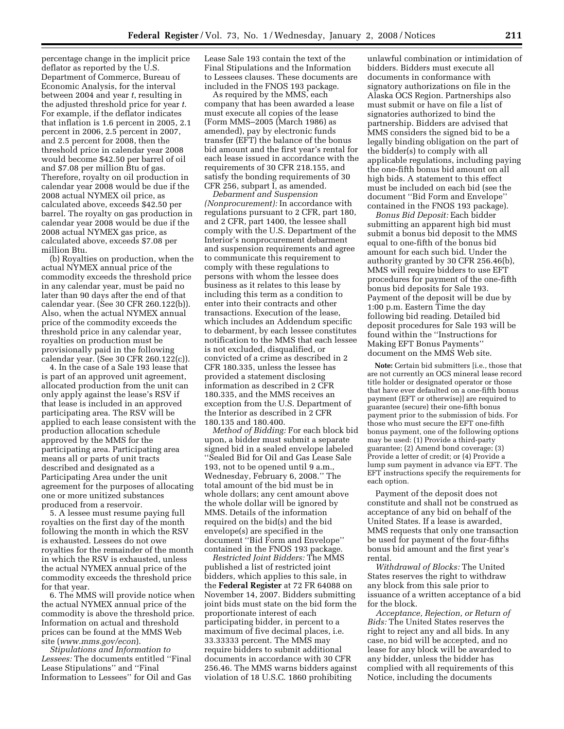percentage change in the implicit price deflator as reported by the U.S. Department of Commerce, Bureau of Economic Analysis, for the interval between 2004 and year *t*, resulting in the adjusted threshold price for year *t*. For example, if the deflator indicates that inflation is 1.6 percent in 2005, 2.1 percent in 2006, 2.5 percent in 2007, and 2.5 percent for 2008, then the threshold price in calendar year 2008 would become \$42.50 per barrel of oil and \$7.08 per million Btu of gas. Therefore, royalty on oil production in calendar year 2008 would be due if the 2008 actual NYMEX oil price, as calculated above, exceeds \$42.50 per barrel. The royalty on gas production in calendar year 2008 would be due if the 2008 actual NYMEX gas price, as calculated above, exceeds \$7.08 per million Btu.

(b) Royalties on production, when the actual NYMEX annual price of the commodity exceeds the threshold price in any calendar year, must be paid no later than 90 days after the end of that calendar year. (See 30 CFR 260.122(b)). Also, when the actual NYMEX annual price of the commodity exceeds the threshold price in any calendar year, royalties on production must be provisionally paid in the following calendar year. (See 30 CFR 260.122(c)).

4. In the case of a Sale 193 lease that is part of an approved unit agreement, allocated production from the unit can only apply against the lease's RSV if that lease is included in an approved participating area. The RSV will be applied to each lease consistent with the production allocation schedule approved by the MMS for the participating area. Participating area means all or parts of unit tracts described and designated as a Participating Area under the unit agreement for the purposes of allocating one or more unitized substances produced from a reservoir.

5. A lessee must resume paying full royalties on the first day of the month following the month in which the RSV is exhausted. Lessees do not owe royalties for the remainder of the month in which the RSV is exhausted, unless the actual NYMEX annual price of the commodity exceeds the threshold price for that year.

6. The MMS will provide notice when the actual NYMEX annual price of the commodity is above the threshold price. Information on actual and threshold prices can be found at the MMS Web site (*www.mms.gov/econ*).

*Stipulations and Information to Lessees:* The documents entitled ''Final Lease Stipulations'' and ''Final Information to Lessees'' for Oil and Gas

Lease Sale 193 contain the text of the Final Stipulations and the Information to Lessees clauses. These documents are included in the FNOS 193 package.

As required by the MMS, each company that has been awarded a lease must execute all copies of the lease (Form MMS–2005 (March 1986) as amended), pay by electronic funds transfer (EFT) the balance of the bonus bid amount and the first year's rental for each lease issued in accordance with the requirements of 30 CFR 218.155, and satisfy the bonding requirements of 30 CFR 256, subpart I, as amended.

*Debarment and Suspension (Nonprocurement):* In accordance with regulations pursuant to 2 CFR, part 180, and 2 CFR, part 1400, the lessee shall comply with the U.S. Department of the Interior's nonprocurement debarment and suspension requirements and agree to communicate this requirement to comply with these regulations to persons with whom the lessee does business as it relates to this lease by including this term as a condition to enter into their contracts and other transactions. Execution of the lease, which includes an Addendum specific to debarment, by each lessee constitutes notification to the MMS that each lessee is not excluded, disqualified, or convicted of a crime as described in 2 CFR 180.335, unless the lessee has provided a statement disclosing information as described in 2 CFR 180.335, and the MMS receives an exception from the U.S. Department of the Interior as described in 2 CFR 180.135 and 180.400.

*Method of Bidding:* For each block bid upon, a bidder must submit a separate signed bid in a sealed envelope labeled ''Sealed Bid for Oil and Gas Lease Sale 193, not to be opened until 9 a.m., Wednesday, February 6, 2008.'' The total amount of the bid must be in whole dollars; any cent amount above the whole dollar will be ignored by MMS. Details of the information required on the bid(s) and the bid envelope(s) are specified in the document ''Bid Form and Envelope'' contained in the FNOS 193 package.

*Restricted Joint Bidders:* The MMS published a list of restricted joint bidders, which applies to this sale, in the **Federal Register** at 72 FR 64088 on November 14, 2007. Bidders submitting joint bids must state on the bid form the proportionate interest of each participating bidder, in percent to a maximum of five decimal places, i.e. 33.33333 percent. The MMS may require bidders to submit additional documents in accordance with 30 CFR 256.46. The MMS warns bidders against violation of 18 U.S.C. 1860 prohibiting

unlawful combination or intimidation of bidders. Bidders must execute all documents in conformance with signatory authorizations on file in the Alaska OCS Region. Partnerships also must submit or have on file a list of signatories authorized to bind the partnership. Bidders are advised that MMS considers the signed bid to be a legally binding obligation on the part of the bidder(s) to comply with all applicable regulations, including paying the one-fifth bonus bid amount on all high bids. A statement to this effect must be included on each bid (see the document ''Bid Form and Envelope'' contained in the FNOS 193 package).

*Bonus Bid Deposit:* Each bidder submitting an apparent high bid must submit a bonus bid deposit to the MMS equal to one-fifth of the bonus bid amount for each such bid. Under the authority granted by 30 CFR 256.46(b), MMS will require bidders to use EFT procedures for payment of the one-fifth bonus bid deposits for Sale 193. Payment of the deposit will be due by 1:00 p.m. Eastern Time the day following bid reading. Detailed bid deposit procedures for Sale 193 will be found within the ''Instructions for Making EFT Bonus Payments'' document on the MMS Web site.

**Note:** Certain bid submitters [i.e., those that are not currently an OCS mineral lease record title holder or designated operator or those that have ever defaulted on a one-fifth bonus payment (EFT or otherwise)] are required to guarantee (secure) their one-fifth bonus payment prior to the submission of bids. For those who must secure the EFT one-fifth bonus payment, one of the following options may be used: (1) Provide a third-party guarantee; (2) Amend bond coverage; (3) Provide a letter of credit; or (4) Provide a lump sum payment in advance via EFT. The EFT instructions specify the requirements for each option.

Payment of the deposit does not constitute and shall not be construed as acceptance of any bid on behalf of the United States. If a lease is awarded, MMS requests that only one transaction be used for payment of the four-fifths bonus bid amount and the first year's rental.

*Withdrawal of Blocks:* The United States reserves the right to withdraw any block from this sale prior to issuance of a written acceptance of a bid for the block.

*Acceptance, Rejection, or Return of Bids:* The United States reserves the right to reject any and all bids. In any case, no bid will be accepted, and no lease for any block will be awarded to any bidder, unless the bidder has complied with all requirements of this Notice, including the documents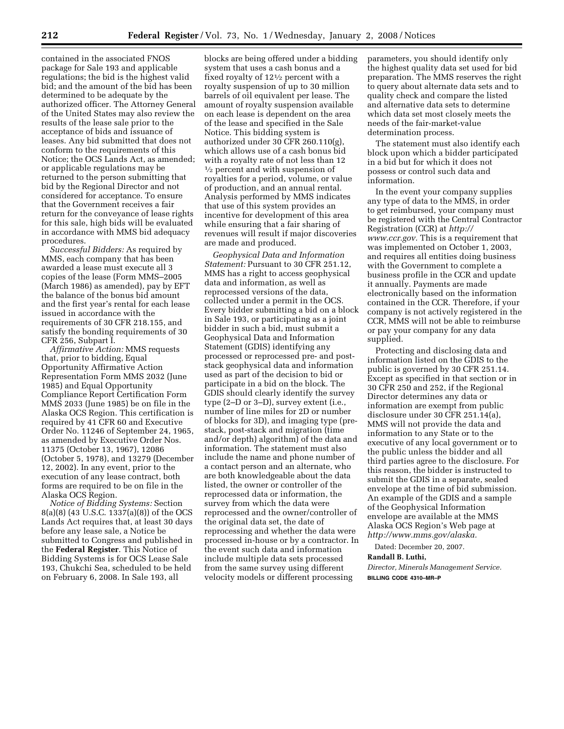contained in the associated FNOS package for Sale 193 and applicable regulations; the bid is the highest valid bid; and the amount of the bid has been determined to be adequate by the authorized officer. The Attorney General of the United States may also review the results of the lease sale prior to the acceptance of bids and issuance of leases. Any bid submitted that does not conform to the requirements of this Notice; the OCS Lands Act, as amended; or applicable regulations may be returned to the person submitting that bid by the Regional Director and not considered for acceptance. To ensure that the Government receives a fair return for the conveyance of lease rights for this sale, high bids will be evaluated in accordance with MMS bid adequacy procedures.

*Successful Bidders:* As required by MMS, each company that has been awarded a lease must execute all 3 copies of the lease (Form MMS–2005 (March 1986) as amended), pay by EFT the balance of the bonus bid amount and the first year's rental for each lease issued in accordance with the requirements of 30 CFR 218.155, and satisfy the bonding requirements of 30 CFR 256, Subpart I.

*Affirmative Action:* MMS requests that, prior to bidding, Equal Opportunity Affirmative Action Representation Form MMS 2032 (June 1985) and Equal Opportunity Compliance Report Certification Form MMS 2033 (June 1985) be on file in the Alaska OCS Region. This certification is required by 41 CFR 60 and Executive Order No. 11246 of September 24, 1965, as amended by Executive Order Nos. 11375 (October 13, 1967), 12086 (October 5, 1978), and 13279 (December 12, 2002). In any event, prior to the execution of any lease contract, both forms are required to be on file in the Alaska OCS Region.

*Notice of Bidding Systems:* Section 8(a)(8) (43 U.S.C. 1337(a)(8)) of the OCS Lands Act requires that, at least 30 days before any lease sale, a Notice be submitted to Congress and published in the **Federal Register**. This Notice of Bidding Systems is for OCS Lease Sale 193, Chukchi Sea, scheduled to be held on February 6, 2008. In Sale 193, all

blocks are being offered under a bidding system that uses a cash bonus and a fixed royalty of 121⁄2 percent with a royalty suspension of up to 30 million barrels of oil equivalent per lease. The amount of royalty suspension available on each lease is dependent on the area of the lease and specified in the Sale Notice. This bidding system is authorized under  $30$  CFR  $260.110(g)$ , which allows use of a cash bonus bid with a royalty rate of not less than 12  $\frac{1}{2}$  percent and with suspension of royalties for a period, volume, or value of production, and an annual rental. Analysis performed by MMS indicates that use of this system provides an incentive for development of this area while ensuring that a fair sharing of revenues will result if major discoveries are made and produced.

*Geophysical Data and Information Statement:* Pursuant to 30 CFR 251.12, MMS has a right to access geophysical data and information, as well as reprocessed versions of the data, collected under a permit in the OCS. Every bidder submitting a bid on a block in Sale 193, or participating as a joint bidder in such a bid, must submit a Geophysical Data and Information Statement (GDIS) identifying any processed or reprocessed pre- and poststack geophysical data and information used as part of the decision to bid or participate in a bid on the block. The GDIS should clearly identify the survey type (2–D or 3–D), survey extent (i.e., number of line miles for 2D or number of blocks for 3D), and imaging type (prestack, post-stack and migration (time and/or depth) algorithm) of the data and information. The statement must also include the name and phone number of a contact person and an alternate, who are both knowledgeable about the data listed, the owner or controller of the reprocessed data or information, the survey from which the data were reprocessed and the owner/controller of the original data set, the date of reprocessing and whether the data were processed in-house or by a contractor. In the event such data and information include multiple data sets processed from the same survey using different velocity models or different processing

parameters, you should identify only the highest quality data set used for bid preparation. The MMS reserves the right to query about alternate data sets and to quality check and compare the listed and alternative data sets to determine which data set most closely meets the needs of the fair-market-value determination process.

The statement must also identify each block upon which a bidder participated in a bid but for which it does not possess or control such data and information.

In the event your company supplies any type of data to the MMS, in order to get reimbursed, your company must be registered with the Central Contractor Registration (CCR) at *http:// www.ccr.gov.* This is a requirement that was implemented on October 1, 2003, and requires all entities doing business with the Government to complete a business profile in the CCR and update it annually. Payments are made electronically based on the information contained in the CCR. Therefore, if your company is not actively registered in the CCR, MMS will not be able to reimburse or pay your company for any data supplied.

Protecting and disclosing data and information listed on the GDIS to the public is governed by 30 CFR 251.14. Except as specified in that section or in 30 CFR 250 and 252, if the Regional Director determines any data or information are exempt from public disclosure under 30 CFR 251.14(a), MMS will not provide the data and information to any State or to the executive of any local government or to the public unless the bidder and all third parties agree to the disclosure. For this reason, the bidder is instructed to submit the GDIS in a separate, sealed envelope at the time of bid submission. An example of the GDIS and a sample of the Geophysical Information envelope are available at the MMS Alaska OCS Region's Web page at *http://www.mms.gov/alaska.* 

Dated: December 20, 2007.

# **Randall B. Luthi,**

*Director, Minerals Management Service.*  **BILLING CODE 4310–MR–P**